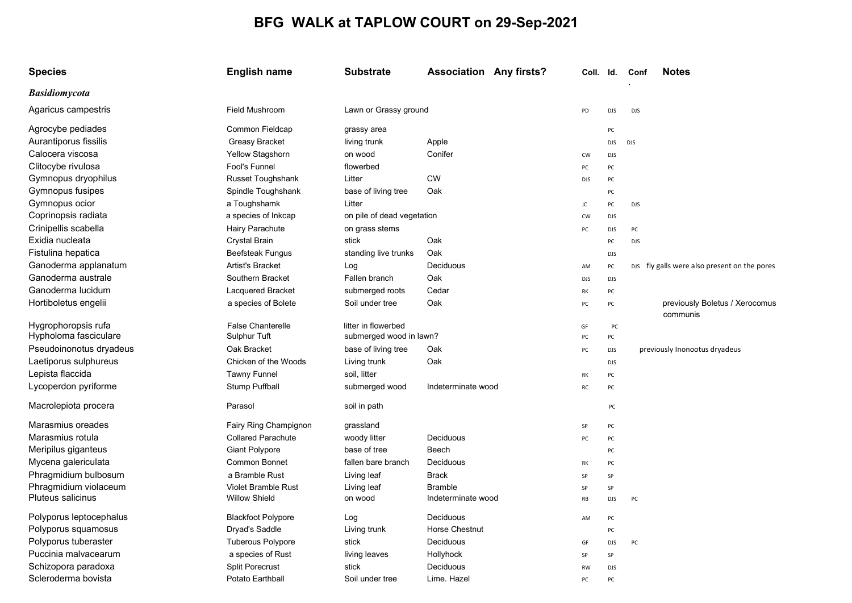## BFG WALK at TAPLOW COURT on 29-Sep-2021

| <b>Species</b>           | <b>English name</b>        | <b>Substrate</b>           | <b>Association Any firsts?</b> |            | Coll. Id.  | Conf       | <b>Notes</b>                                 |
|--------------------------|----------------------------|----------------------------|--------------------------------|------------|------------|------------|----------------------------------------------|
| Basidiomycota            |                            |                            |                                |            |            |            |                                              |
| Agaricus campestris      | Field Mushroom             | Lawn or Grassy ground      |                                | PD         | <b>DJS</b> | <b>DJS</b> |                                              |
| Agrocybe pediades        | Common Fieldcap            | grassy area                |                                |            | PC         |            |                                              |
| Aurantiporus fissilis    | <b>Greasy Bracket</b>      | living trunk               | Apple                          |            | <b>DJS</b> | <b>DJS</b> |                                              |
| Calocera viscosa         | Yellow Stagshorn           | on wood                    | Conifer                        | CW         | <b>DJS</b> |            |                                              |
| Clitocybe rivulosa       | Fool's Funnel              | flowerbed                  |                                | PC         | PC         |            |                                              |
| Gymnopus dryophilus      | <b>Russet Toughshank</b>   | Litter                     | <b>CW</b>                      | DJS        | PC         |            |                                              |
| Gymnopus fusipes         | Spindle Toughshank         | base of living tree        | Oak                            |            | PC         |            |                                              |
| Gymnopus ocior           | a Toughshamk               | Litter                     |                                | JC         | PC         | <b>DJS</b> |                                              |
| Coprinopsis radiata      | a species of Inkcap        | on pile of dead vegetation |                                | cw         | <b>DJS</b> |            |                                              |
| Crinipellis scabella     | Hairy Parachute            | on grass stems             |                                | PC         | <b>DJS</b> | PC         |                                              |
| Exidia nucleata          | <b>Crystal Brain</b>       | stick                      | Oak                            |            | PC         | <b>DJS</b> |                                              |
| Fistulina hepatica       | <b>Beefsteak Fungus</b>    | standing live trunks       | Oak                            |            | <b>DJS</b> |            |                                              |
| Ganoderma applanatum     | Artist's Bracket           | Log                        | Deciduous                      | AM         | PC         |            | DJS fly galls were also present on the pores |
| Ganoderma australe       | Southern Bracket           | Fallen branch              | Oak                            | <b>DJS</b> | <b>DJS</b> |            |                                              |
| Ganoderma lucidum        | Lacquered Bracket          | submerged roots            | Cedar                          | RK         | PC         |            |                                              |
| Hortiboletus engelii     | a species of Bolete        | Soil under tree            | Oak                            | PC         | PC         |            | previously Boletus / Xerocomus<br>communis   |
| Hygrophoropsis rufa      | <b>False Chanterelle</b>   | litter in flowerbed        |                                | GF         | PC         |            |                                              |
| Hypholoma fasciculare    | Sulphur Tuft               | submerged wood in lawn?    |                                | PC         | PC         |            |                                              |
| Pseudoinonotus dryadeus  | Oak Bracket                | base of living tree        | Oak                            | PC         | <b>DJS</b> |            | previously Inonootus dryadeus                |
| Laetiporus sulphureus    | Chicken of the Woods       | Living trunk               | Oak                            |            | <b>DJS</b> |            |                                              |
| Lepista flaccida         | <b>Tawny Funnel</b>        | soil, litter               |                                | RK         | PC         |            |                                              |
| Lycoperdon pyriforme     | Stump Puffball             | submerged wood             | Indeterminate wood             | RC         | PC         |            |                                              |
| Macrolepiota procera     | Parasol                    | soil in path               |                                |            | PC         |            |                                              |
| Marasmius oreades        | Fairy Ring Champignon      | grassland                  |                                | SP         | PC         |            |                                              |
| Marasmius rotula         | <b>Collared Parachute</b>  | woody litter               | Deciduous                      | PC         | PC         |            |                                              |
| Meripilus giganteus      | <b>Giant Polypore</b>      | base of tree               | Beech                          |            | PC         |            |                                              |
| Mycena galericulata      | <b>Common Bonnet</b>       | fallen bare branch         | Deciduous                      | RK         | PC         |            |                                              |
| Phragmidium bulbosum     | a Bramble Rust             | Living leaf                | <b>Brack</b>                   | SP         | SP         |            |                                              |
| Phragmidium violaceum    | <b>Violet Bramble Rust</b> | Living leaf                | <b>Bramble</b>                 | SP         | SP         |            |                                              |
| <b>Pluteus salicinus</b> | <b>Willow Shield</b>       | on wood                    | Indeterminate wood             | RB         | <b>DJS</b> | PC         |                                              |
| Polyporus leptocephalus  | <b>Blackfoot Polypore</b>  | Log                        | Deciduous                      | AM         | PC         |            |                                              |
| Polyporus squamosus      | Dryad's Saddle             | Living trunk               | <b>Horse Chestnut</b>          |            | PC         |            |                                              |
| Polyporus tuberaster     | <b>Tuberous Polypore</b>   | stick                      | Deciduous                      | GF         | <b>DJS</b> | PC         |                                              |
| Puccinia malvacearum     | a species of Rust          | living leaves              | Hollyhock                      | SP         | SP         |            |                                              |
| Schizopora paradoxa      | <b>Split Porecrust</b>     | stick                      | Deciduous                      | RW         | <b>DJS</b> |            |                                              |
| Scleroderma bovista      | Potato Earthball           | Soil under tree            | Lime. Hazel                    | PC         | PC         |            |                                              |